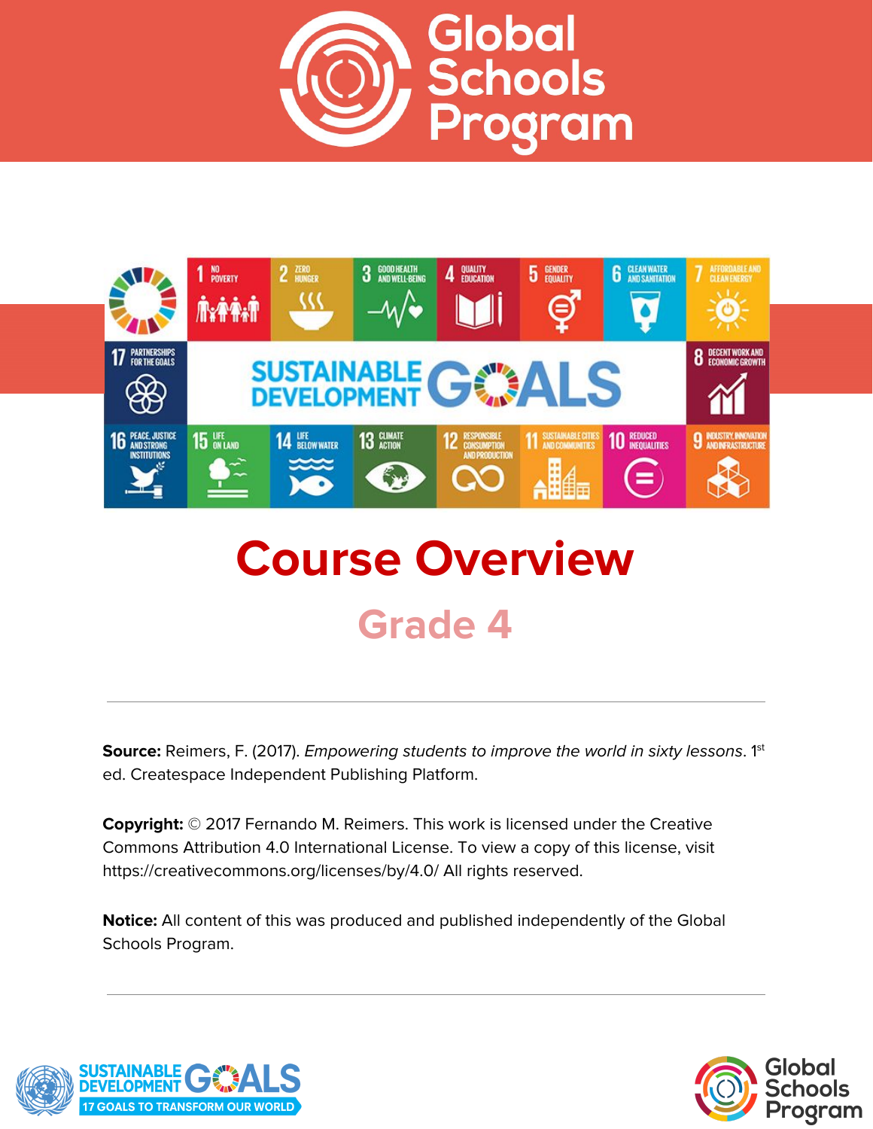



# **Course Overview Grade 4**

**Source:** Reimers, F. (2017). *Empowering students to improve the world in sixty lessons.* 1<sup>st</sup> ed. Createspace Independent Publishing Platform.

**Copyright:** © 2017 Fernando M. Reimers. This work is licensed under the Creative Commons Attribution 4.0 International License. To view a copy of this license, visit https://creativecommons.org/licenses/by/4.0/ All rights reserved.

**Notice:** All content of this was produced and published independently of the Global Schools Program.



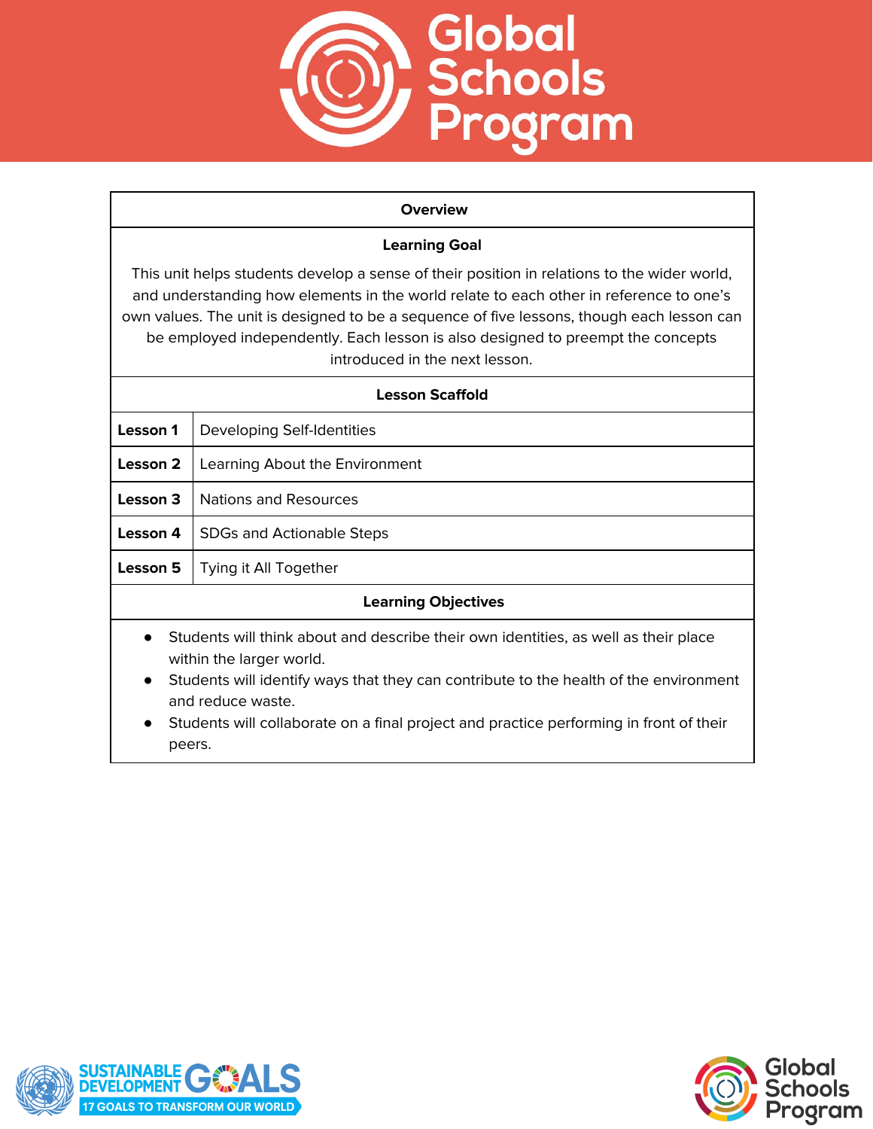

#### **Overview**

### **Learning Goal**

This unit helps students develop a sense of their position in relations to the wider world, and understanding how elements in the world relate to each other in reference to one's own values. The unit is designed to be a sequence of five lessons, though each lesson can be employed independently. Each lesson is also designed to preempt the concepts introduced in the next lesson.

| <b>Lesson Scaffold</b>                                                                                                                                                                                                                                                                                                                                      |                                  |  |  |
|-------------------------------------------------------------------------------------------------------------------------------------------------------------------------------------------------------------------------------------------------------------------------------------------------------------------------------------------------------------|----------------------------------|--|--|
| Lesson 1                                                                                                                                                                                                                                                                                                                                                    | Developing Self-Identities       |  |  |
| Lesson 2                                                                                                                                                                                                                                                                                                                                                    | Learning About the Environment   |  |  |
| Lesson 3                                                                                                                                                                                                                                                                                                                                                    | Nations and Resources            |  |  |
| Lesson 4                                                                                                                                                                                                                                                                                                                                                    | <b>SDGs and Actionable Steps</b> |  |  |
| Lesson 5                                                                                                                                                                                                                                                                                                                                                    | Tying it All Together            |  |  |
| <b>Learning Objectives</b>                                                                                                                                                                                                                                                                                                                                  |                                  |  |  |
| Students will think about and describe their own identities, as well as their place<br>within the larger world.<br>Students will identify ways that they can contribute to the health of the environment<br>$\bullet$<br>and reduce waste.<br>On ad care and the children compared to the contract of the company of the company of the Company of the star |                                  |  |  |

Students will collaborate on a final project and practice performing in front of their peers.



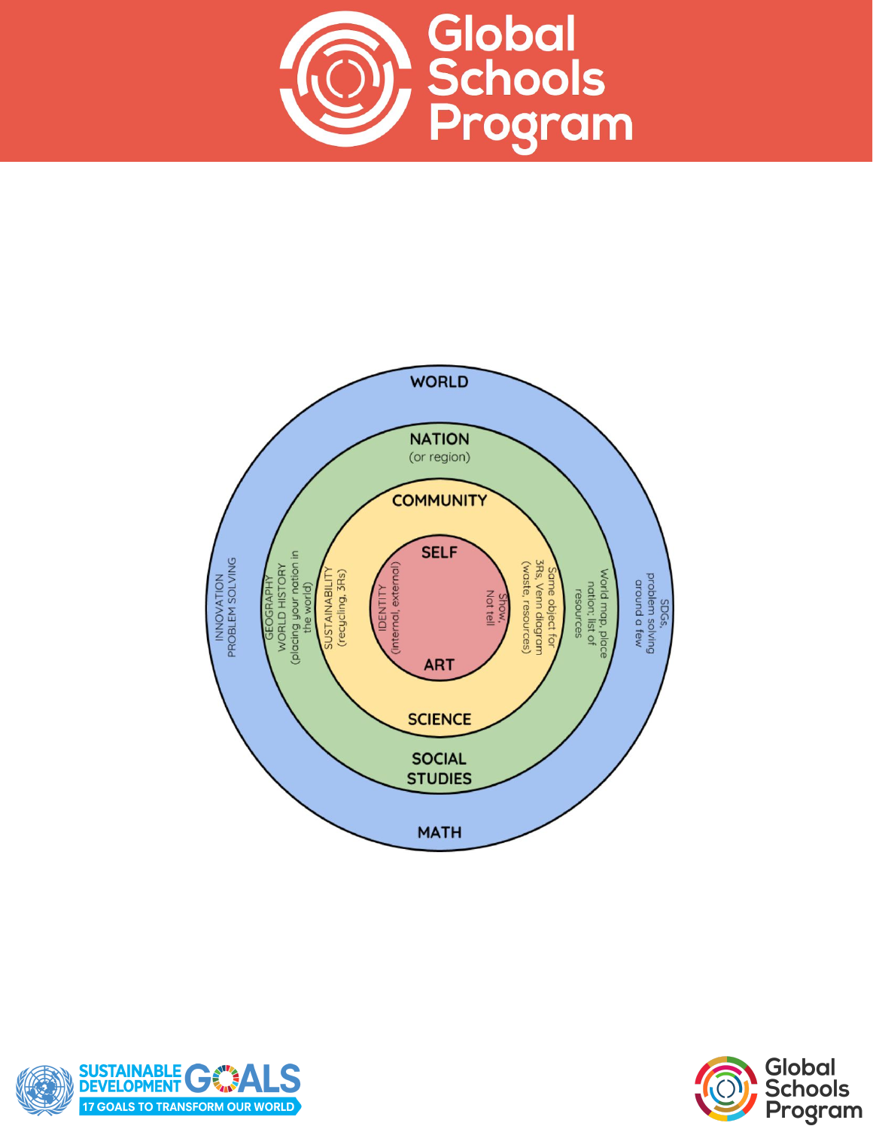





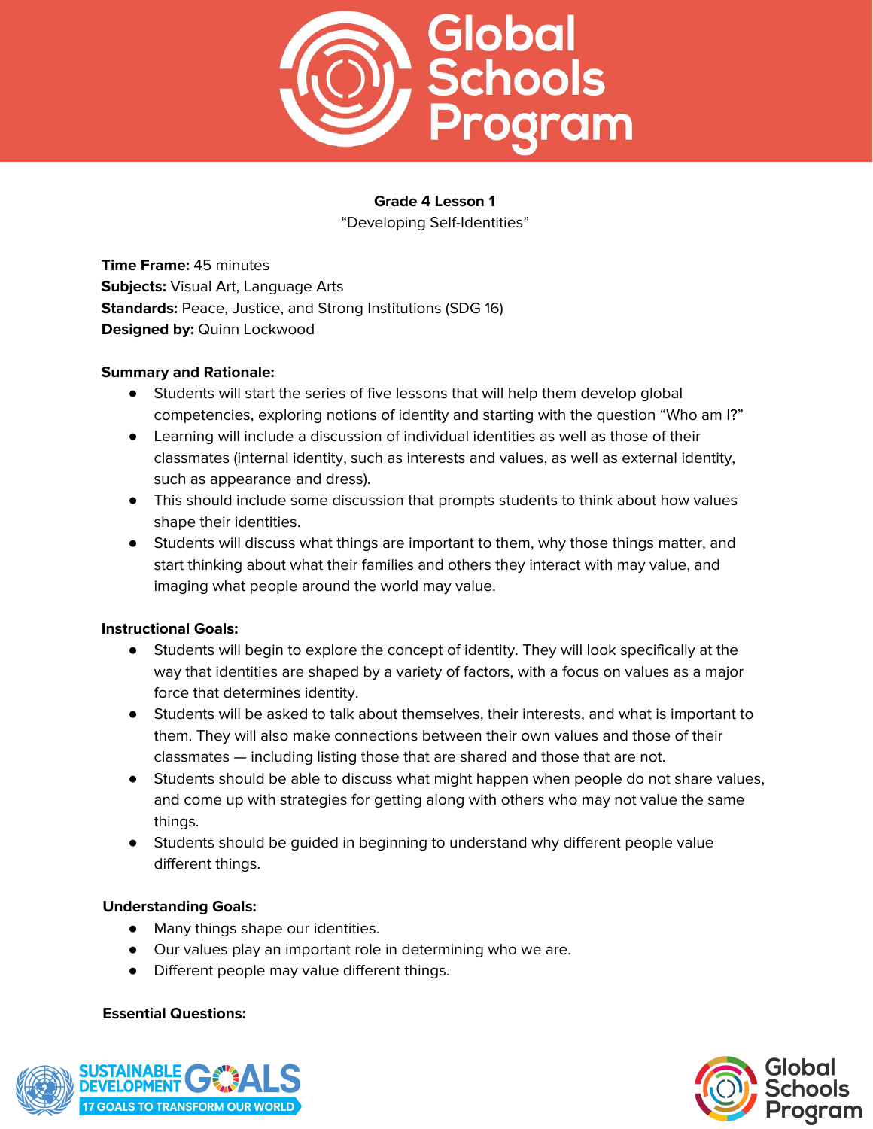

# **Grade 4 Lesson 1** "Developing Self-Identities"

**Time Frame:** 45 minutes **Subjects:** Visual Art, Language Arts **Standards:** Peace, Justice, and Strong Institutions (SDG 16) **Designed by:** Quinn Lockwood

# **Summary and Rationale:**

- Students will start the series of five lessons that will help them develop global competencies, exploring notions of identity and starting with the question "Who am I?"
- Learning will include a discussion of individual identities as well as those of their classmates (internal identity, such as interests and values, as well as external identity, such as appearance and dress).
- This should include some discussion that prompts students to think about how values shape their identities.
- Students will discuss what things are important to them, why those things matter, and start thinking about what their families and others they interact with may value, and imaging what people around the world may value.

# **Instructional Goals:**

- Students will begin to explore the concept of identity. They will look specifically at the way that identities are shaped by a variety of factors, with a focus on values as a major force that determines identity.
- Students will be asked to talk about themselves, their interests, and what is important to them. They will also make connections between their own values and those of their classmates — including listing those that are shared and those that are not.
- Students should be able to discuss what might happen when people do not share values, and come up with strategies for getting along with others who may not value the same things.
- Students should be guided in beginning to understand why different people value different things.

# **Understanding Goals:**

- Many things shape our identities.
- Our values play an important role in determining who we are.
- Different people may value different things.

#### **Essential Questions:**



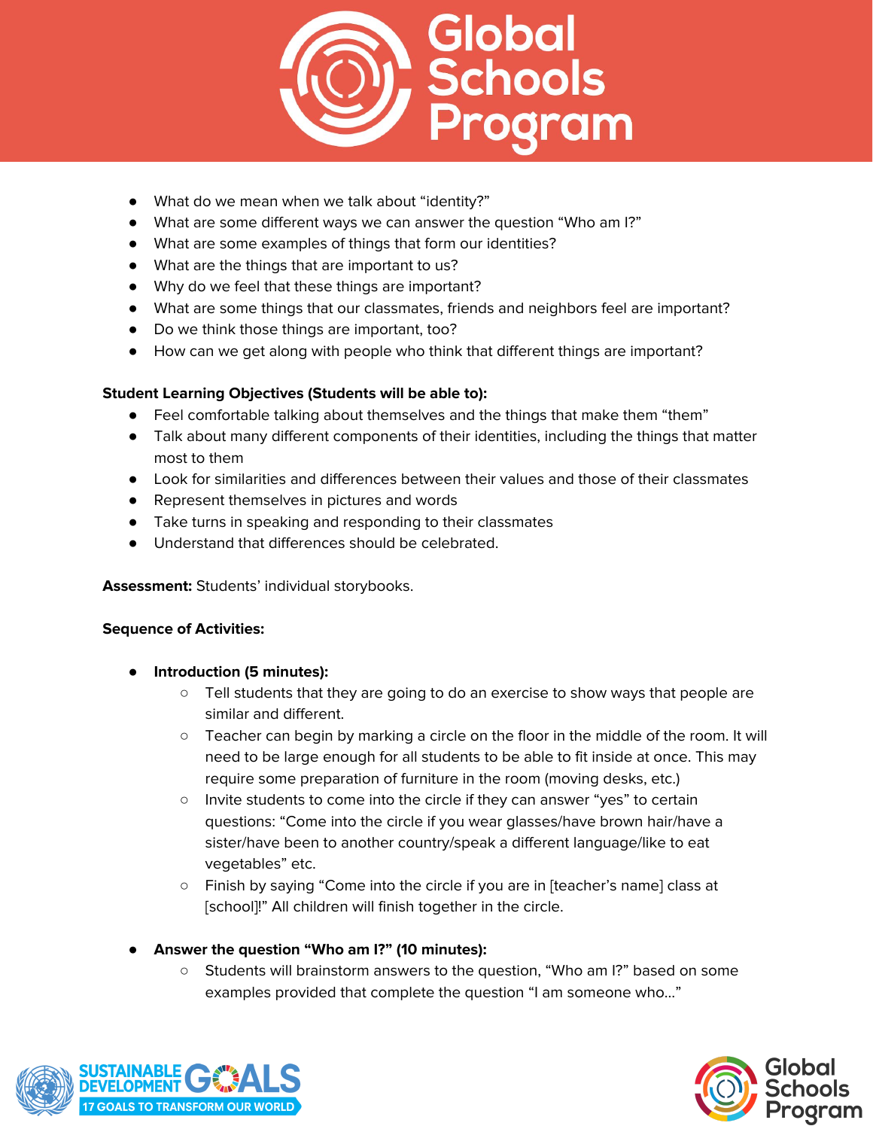

- What do we mean when we talk about "identity?"
- What are some different ways we can answer the question "Who am I?"
- What are some examples of things that form our identities?
- What are the things that are important to us?
- Why do we feel that these things are important?
- What are some things that our classmates, friends and neighbors feel are important?
- Do we think those things are important, too?
- How can we get along with people who think that different things are important?

# **Student Learning Objectives (Students will be able to):**

- Feel comfortable talking about themselves and the things that make them "them"
- Talk about many different components of their identities, including the things that matter most to them
- Look for similarities and differences between their values and those of their classmates
- Represent themselves in pictures and words
- Take turns in speaking and responding to their classmates
- Understand that differences should be celebrated.

**Assessment:** Students' individual storybooks.

- **Introduction (5 minutes):**
	- Tell students that they are going to do an exercise to show ways that people are similar and different.
	- Teacher can begin by marking a circle on the floor in the middle of the room. It will need to be large enough for all students to be able to fit inside at once. This may require some preparation of furniture in the room (moving desks, etc.)
	- Invite students to come into the circle if they can answer "yes" to certain questions: "Come into the circle if you wear glasses/have brown hair/have a sister/have been to another country/speak a different language/like to eat vegetables" etc.
	- Finish by saying "Come into the circle if you are in [teacher's name] class at [school]!" All children will finish together in the circle.
- **● Answer the question "Who am I?" (10 minutes):**
	- Students will brainstorm answers to the question, "Who am I?" based on some examples provided that complete the question "I am someone who…"



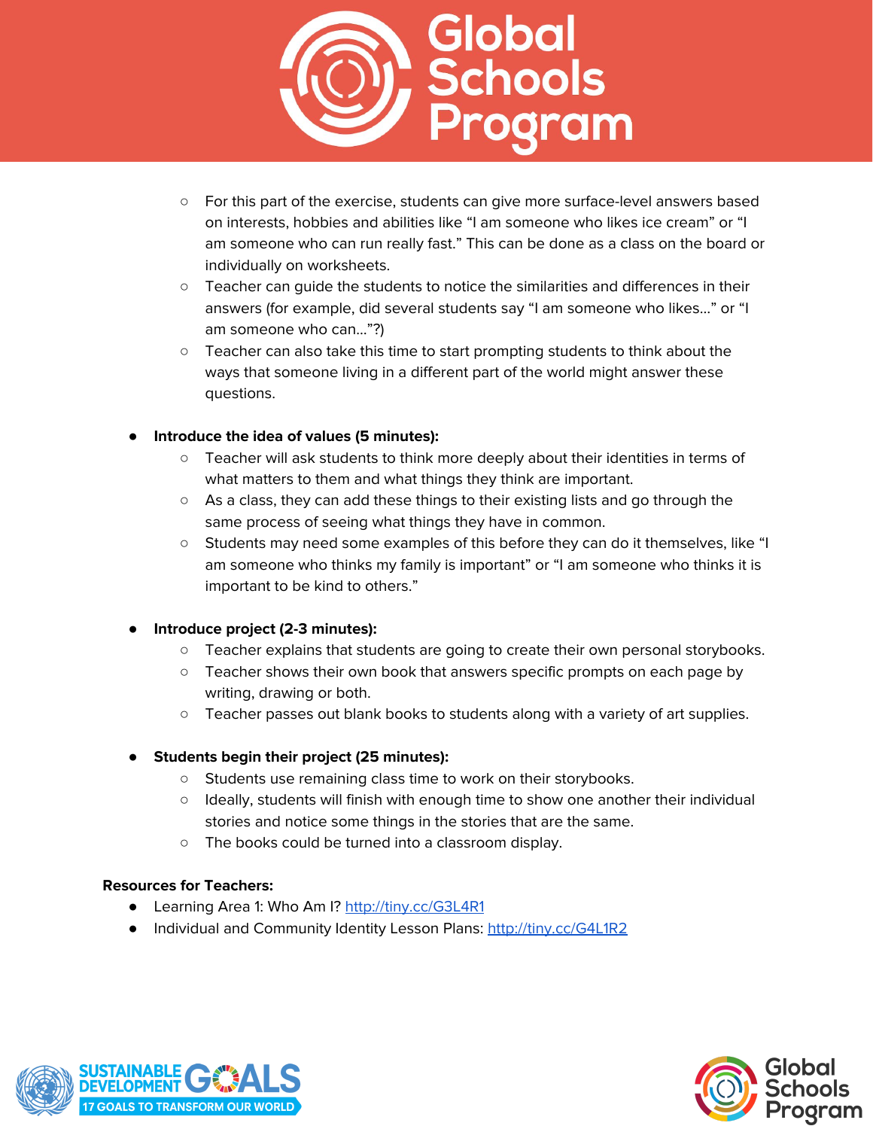

- For this part of the exercise, students can give more surface-level answers based on interests, hobbies and abilities like "I am someone who likes ice cream" or "I am someone who can run really fast." This can be done as a class on the board or individually on worksheets.
- Teacher can guide the students to notice the similarities and differences in their answers (for example, did several students say "I am someone who likes…" or "I am someone who can…"?)
- Teacher can also take this time to start prompting students to think about the ways that someone living in a different part of the world might answer these questions.

# ● **Introduce the idea of values (5 minutes):**

- Teacher will ask students to think more deeply about their identities in terms of what matters to them and what things they think are important.
- As a class, they can add these things to their existing lists and go through the same process of seeing what things they have in common.
- Students may need some examples of this before they can do it themselves, like "I am someone who thinks my family is important" or "I am someone who thinks it is important to be kind to others."

#### **● Introduce project (2-3 minutes):**

- **○** Teacher explains that students are going to create their own personal storybooks.
- **○** Teacher shows their own book that answers specific prompts on each page by writing, drawing or both.
- **○** Teacher passes out blank books to students along with a variety of art supplies.
- **● Students begin their project (25 minutes):**
	- **○** Students use remaining class time to work on their storybooks.
	- **○** Ideally, students will finish with enough time to show one another their individual stories and notice some things in the stories that are the same.
	- **○** The books could be turned into a classroom display.

#### **Resources for Teachers:**

- Learning Area 1: Who Am I? <http://tiny.cc/G3L4R1>
- **●** Individual and Community Identity Lesson Plans: <http://tiny.cc/G4L1R2>



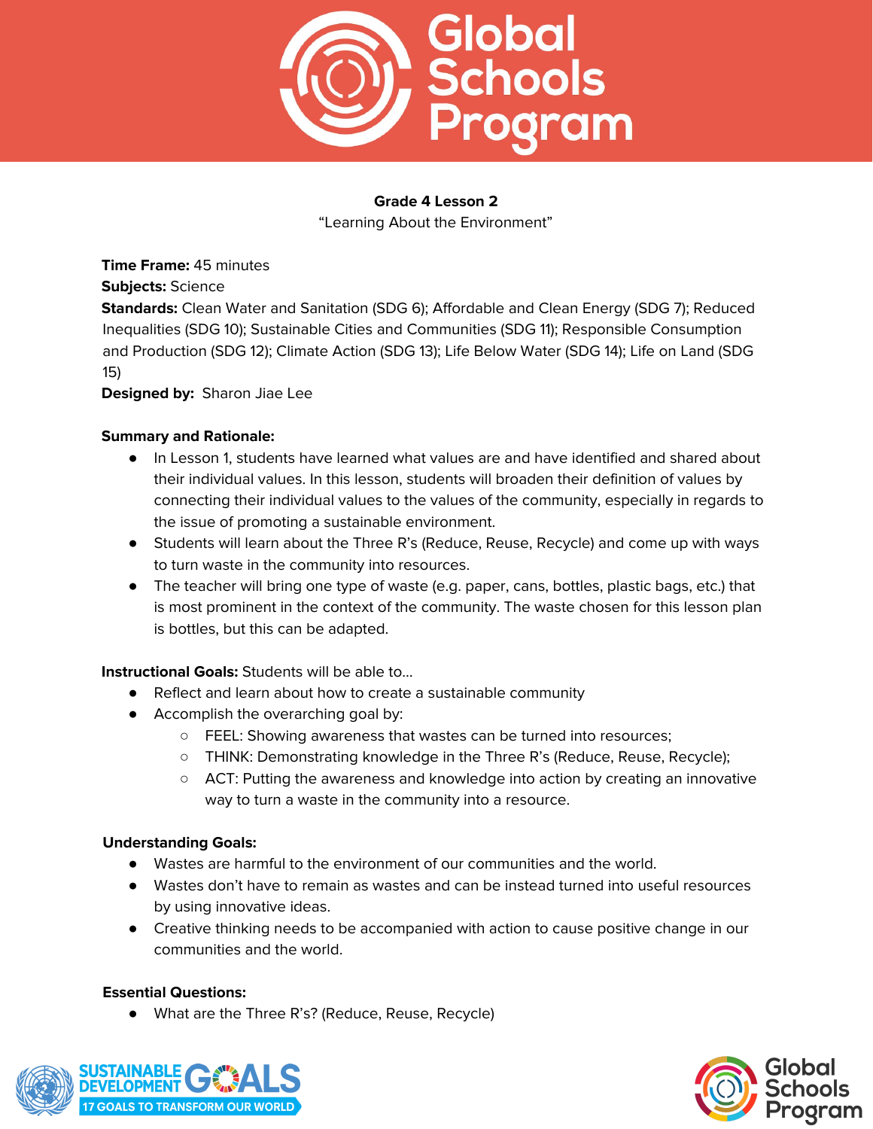

"Learning About the Environment"

**Time Frame:** 45 minutes

**Subjects:** Science

**Standards:** Clean Water and Sanitation (SDG 6); Affordable and Clean Energy (SDG 7); Reduced Inequalities (SDG 10); Sustainable Cities and Communities (SDG 11); Responsible Consumption and Production (SDG 12); Climate Action (SDG 13); Life Below Water (SDG 14); Life on Land (SDG 15)

**Designed by:** Sharon Jiae Lee

#### **Summary and Rationale:**

- In Lesson 1, students have learned what values are and have identified and shared about their individual values. In this lesson, students will broaden their definition of values by connecting their individual values to the values of the community, especially in regards to the issue of promoting a sustainable environment.
- Students will learn about the Three R's (Reduce, Reuse, Recycle) and come up with ways to turn waste in the community into resources.
- The teacher will bring one type of waste (e.g. paper, cans, bottles, plastic bags, etc.) that is most prominent in the context of the community. The waste chosen for this lesson plan is bottles, but this can be adapted.

#### **Instructional Goals:** Students will be able to…

- Reflect and learn about how to create a sustainable community
- Accomplish the overarching goal by:
	- FEEL: Showing awareness that wastes can be turned into resources;
	- THINK: Demonstrating knowledge in the Three R's (Reduce, Reuse, Recycle);
	- ACT: Putting the awareness and knowledge into action by creating an innovative way to turn a waste in the community into a resource.

#### **Understanding Goals:**

- Wastes are harmful to the environment of our communities and the world.
- Wastes don't have to remain as wastes and can be instead turned into useful resources by using innovative ideas.
- Creative thinking needs to be accompanied with action to cause positive change in our communities and the world.

#### **Essential Questions:**

● What are the Three R's? (Reduce, Reuse, Recycle)



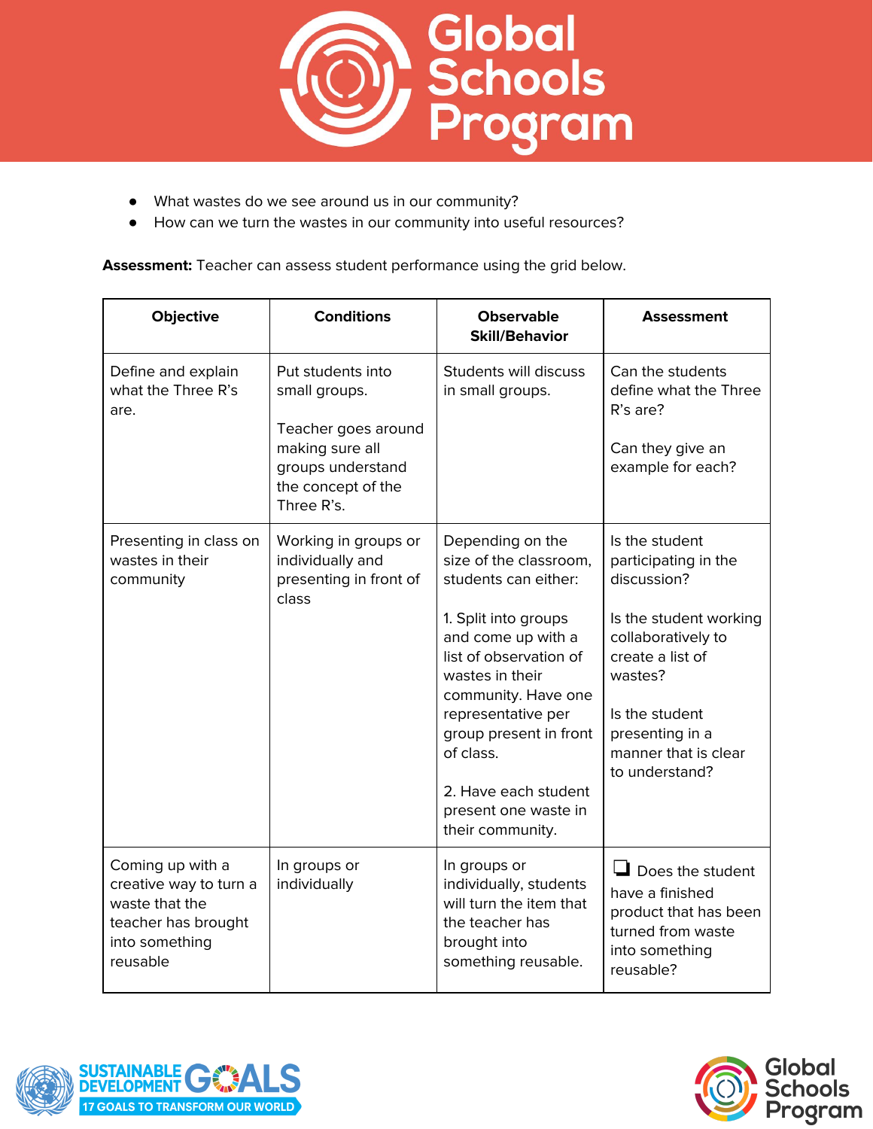

- What wastes do we see around us in our community?
- How can we turn the wastes in our community into useful resources?

**Assessment:** Teacher can assess student performance using the grid below.

| Objective                                                                                                         | <b>Conditions</b>                                                                                                                     | <b>Observable</b><br><b>Skill/Behavior</b>                                                                                                                                                                                                                                                                            | Assessment                                                                                                                                                                                                          |
|-------------------------------------------------------------------------------------------------------------------|---------------------------------------------------------------------------------------------------------------------------------------|-----------------------------------------------------------------------------------------------------------------------------------------------------------------------------------------------------------------------------------------------------------------------------------------------------------------------|---------------------------------------------------------------------------------------------------------------------------------------------------------------------------------------------------------------------|
| Define and explain<br>what the Three R's<br>are.                                                                  | Put students into<br>small groups.<br>Teacher goes around<br>making sure all<br>groups understand<br>the concept of the<br>Three R's. | Students will discuss<br>in small groups.                                                                                                                                                                                                                                                                             | Can the students<br>define what the Three<br>R's are?<br>Can they give an<br>example for each?                                                                                                                      |
| Presenting in class on<br>wastes in their<br>community                                                            | Working in groups or<br>individually and<br>presenting in front of<br>class                                                           | Depending on the<br>size of the classroom,<br>students can either:<br>1. Split into groups<br>and come up with a<br>list of observation of<br>wastes in their<br>community. Have one<br>representative per<br>group present in front<br>of class.<br>2. Have each student<br>present one waste in<br>their community. | Is the student<br>participating in the<br>discussion?<br>Is the student working<br>collaboratively to<br>create a list of<br>wastes?<br>Is the student<br>presenting in a<br>manner that is clear<br>to understand? |
| Coming up with a<br>creative way to turn a<br>waste that the<br>teacher has brought<br>into something<br>reusable | In groups or<br>individually                                                                                                          | In groups or<br>individually, students<br>will turn the item that<br>the teacher has<br>brought into<br>something reusable.                                                                                                                                                                                           | $\Box$ Does the student<br>have a finished<br>product that has been<br>turned from waste<br>into something<br>reusable?                                                                                             |



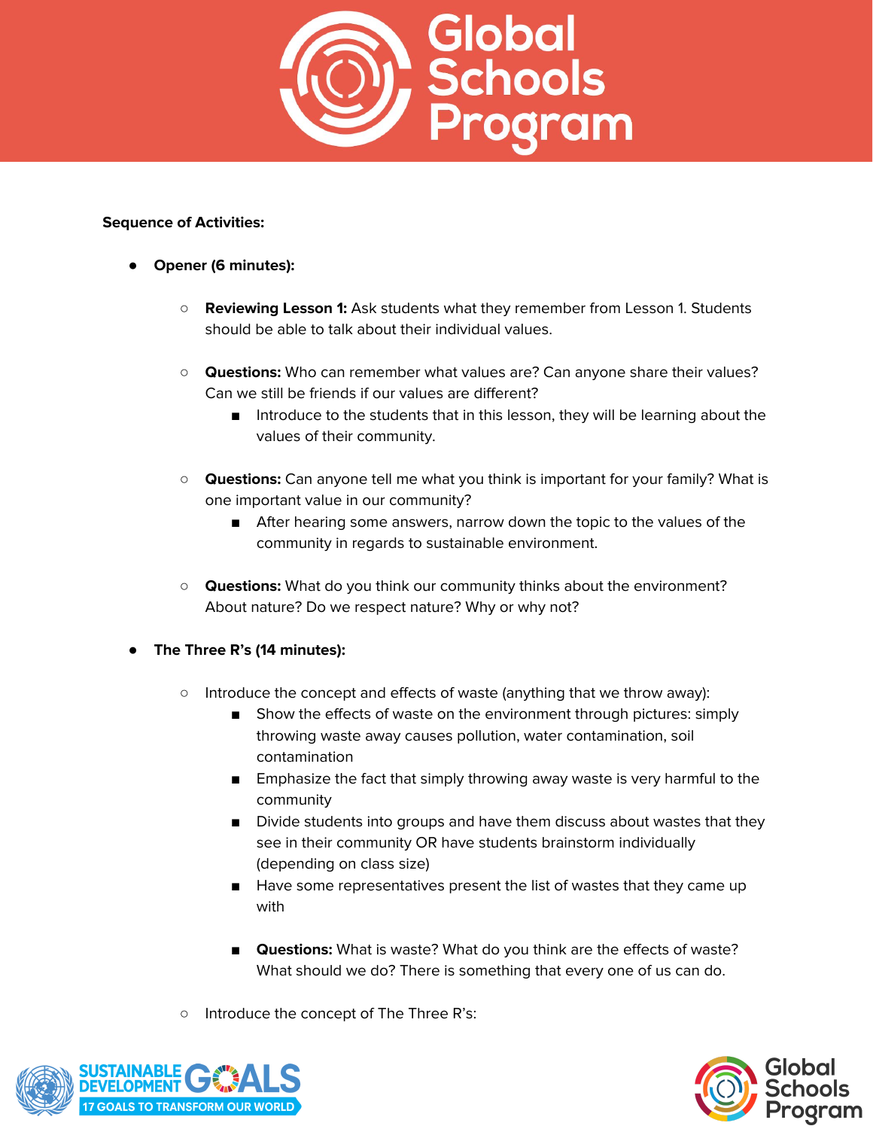

- **Opener (6 minutes):**
	- **Reviewing Lesson 1:** Ask students what they remember from Lesson 1. Students should be able to talk about their individual values.
	- **Questions:** Who can remember what values are? Can anyone share their values? Can we still be friends if our values are different?
		- Introduce to the students that in this lesson, they will be learning about the values of their community.
	- **Questions:** Can anyone tell me what you think is important for your family? What is one important value in our community?
		- After hearing some answers, narrow down the topic to the values of the community in regards to sustainable environment.
	- **Questions:** What do you think our community thinks about the environment? About nature? Do we respect nature? Why or why not?
- **● The Three R's (14 minutes):**
	- Introduce the concept and effects of waste (anything that we throw away):
		- Show the effects of waste on the environment through pictures: simply throwing waste away causes pollution, water contamination, soil contamination
		- Emphasize the fact that simply throwing away waste is very harmful to the community
		- Divide students into groups and have them discuss about wastes that they see in their community OR have students brainstorm individually (depending on class size)
		- Have some representatives present the list of wastes that they came up with
		- **Questions:** What is waste? What do you think are the effects of waste? What should we do? There is something that every one of us can do.
	- Introduce the concept of The Three R's:



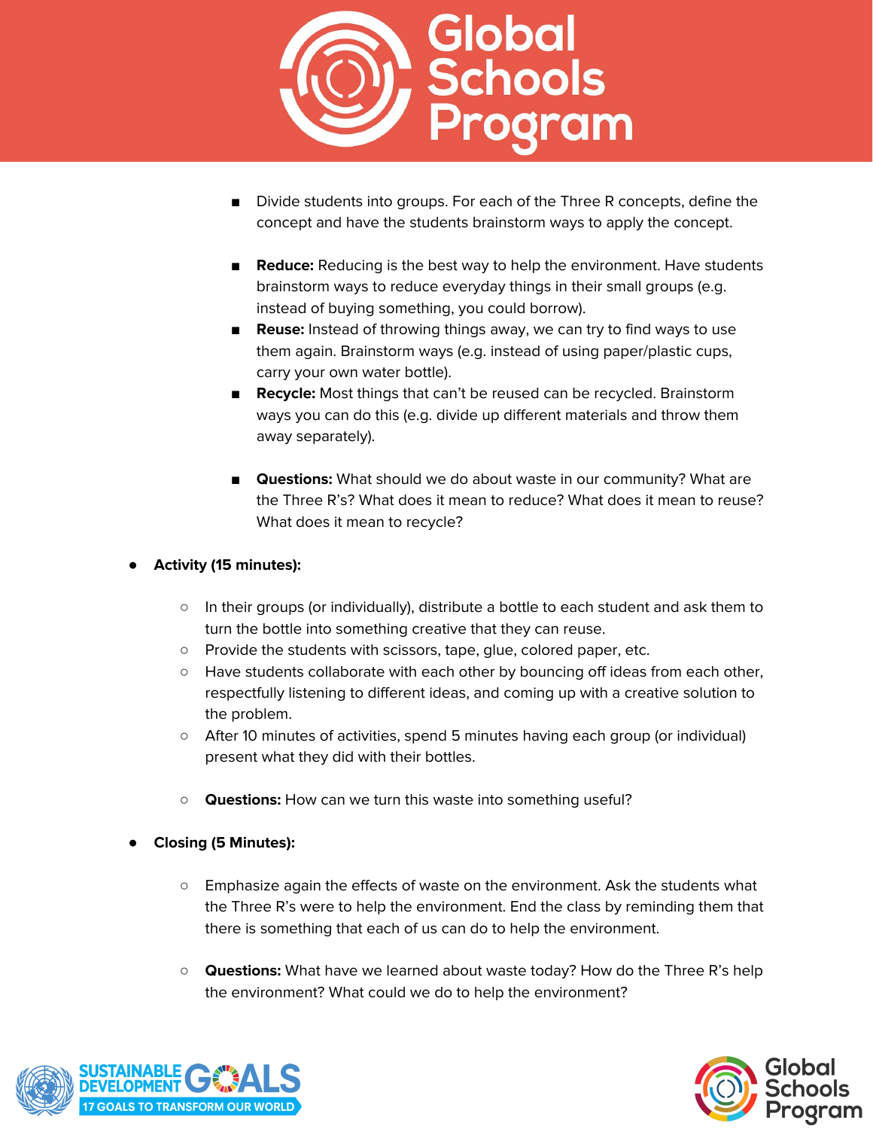

- Divide students into groups. For each of the Three R concepts, define the concept and have the students brainstorm ways to apply the concept.
- **Reduce:** Reducing is the best way to help the environment. Have students brainstorm ways to reduce everyday things in their small groups (e.g. instead of buying something, you could borrow).
- **Reuse:** Instead of throwing things away, we can try to find ways to use them again. Brainstorm ways (e.g. instead of using paper/plastic cups, carry your own water bottle).
- **Recycle:** Most things that can't be reused can be recycled. Brainstorm ways you can do this (e.g. divide up different materials and throw them away separately).
- **Questions:** What should we do about waste in our community? What are the Three R's? What does it mean to reduce? What does it mean to reuse? What does it mean to recycle?

# ● **Activity (15 minutes):**

- In their groups (or individually), distribute a bottle to each student and ask them to turn the bottle into something creative that they can reuse.
- Provide the students with scissors, tape, glue, colored paper, etc.
- Have students collaborate with each other by bouncing off ideas from each other, respectfully listening to different ideas, and coming up with a creative solution to the problem.
- After 10 minutes of activities, spend 5 minutes having each group (or individual) present what they did with their bottles.
- **Questions:** How can we turn this waste into something useful?
- **● Closing (5 Minutes):**
	- Emphasize again the effects of waste on the environment. Ask the students what the Three R's were to help the environment. End the class by reminding them that there is something that each of us can do to help the environment.
	- **Questions:** What have we learned about waste today? How do the Three R's help the environment? What could we do to help the environment?



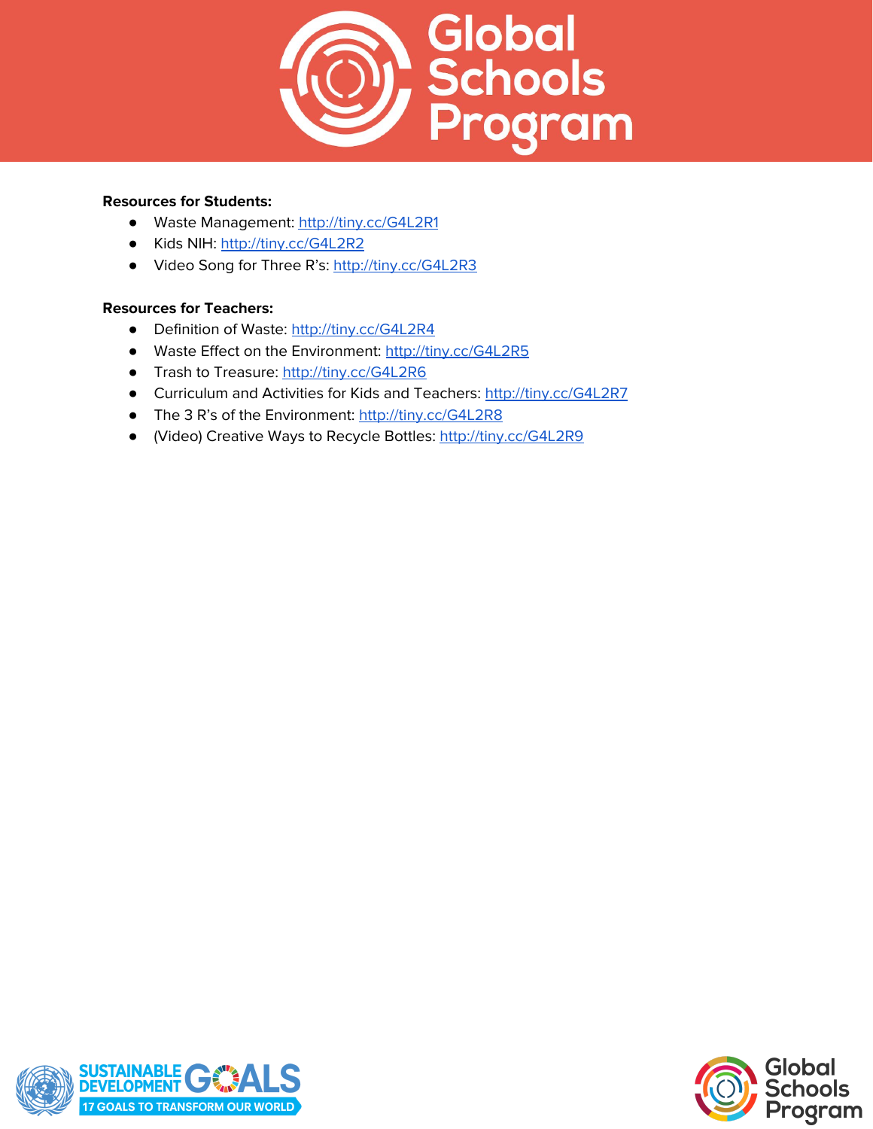

#### **Resources for Students:**

- Waste Management: <http://tiny.cc/G4L2R1>
- Kids NIH: <http://tiny.cc/G4L2R2>
- Video Song for Three R's: <http://tiny.cc/G4L2R3>

# **Resources for Teachers:**

- Definition of Waste: <http://tiny.cc/G4L2R4>
- Waste Effect on the Environment: <http://tiny.cc/G4L2R5>
- Trash to Treasure: <http://tiny.cc/G4L2R6>
- Curriculum and Activities for Kids and Teachers: <http://tiny.cc/G4L2R7>
- The 3 R's of the Environment: <http://tiny.cc/G4L2R8>
- (Video) Creative Ways to Recycle Bottles: <http://tiny.cc/G4L2R9>



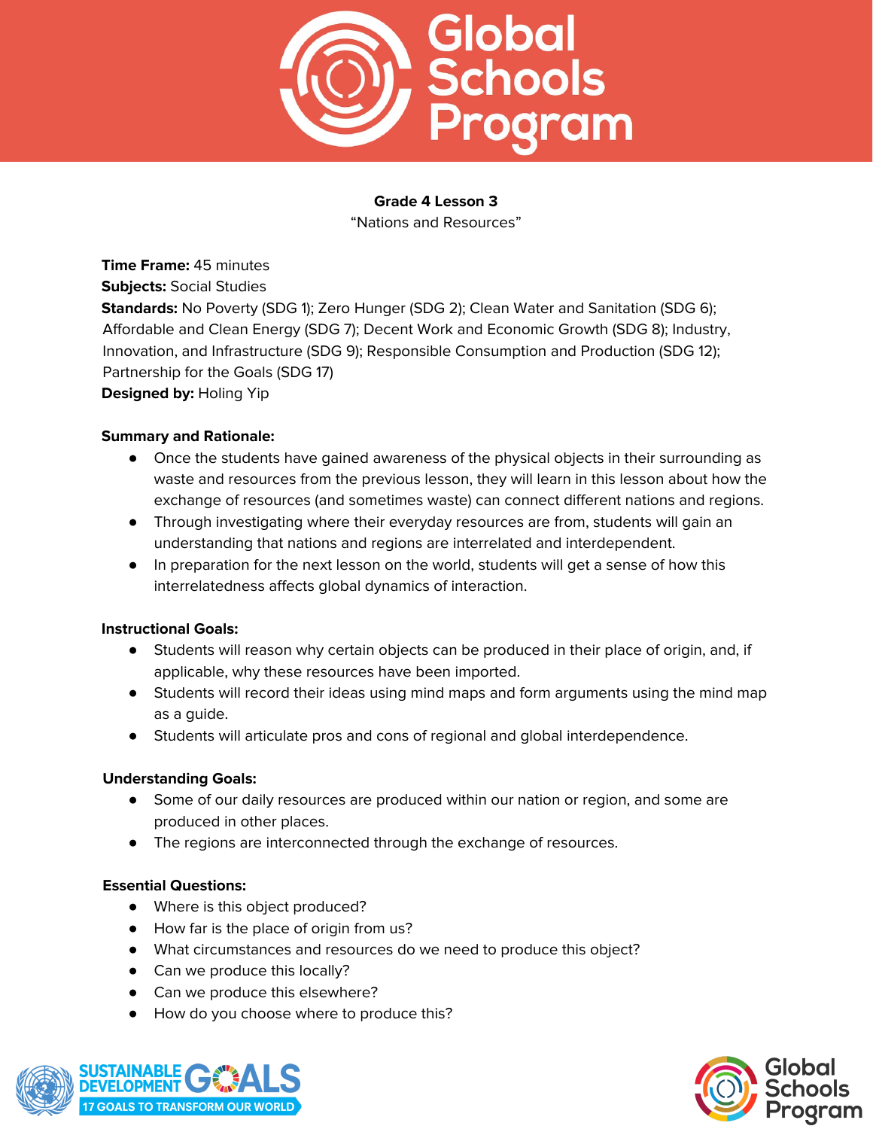

"Nations and Resources"

**Time Frame:** 45 minutes **Subjects:** Social Studies **Standards:** No Poverty (SDG 1); Zero Hunger (SDG 2); Clean Water and Sanitation (SDG 6); Affordable and Clean Energy (SDG 7); Decent Work and Economic Growth (SDG 8); Industry, Innovation, and Infrastructure (SDG 9); Responsible Consumption and Production (SDG 12); Partnership for the Goals (SDG 17) **Designed by:** Holing Yip

#### **Summary and Rationale:**

- Once the students have gained awareness of the physical objects in their surrounding as waste and resources from the previous lesson, they will learn in this lesson about how the exchange of resources (and sometimes waste) can connect different nations and regions.
- Through investigating where their everyday resources are from, students will gain an understanding that nations and regions are interrelated and interdependent.
- In preparation for the next lesson on the world, students will get a sense of how this interrelatedness affects global dynamics of interaction.

#### **Instructional Goals:**

- Students will reason why certain objects can be produced in their place of origin, and, if applicable, why these resources have been imported.
- Students will record their ideas using mind maps and form arguments using the mind map as a guide.
- Students will articulate pros and cons of regional and global interdependence.

#### **Understanding Goals:**

- Some of our daily resources are produced within our nation or region, and some are produced in other places.
- The regions are interconnected through the exchange of resources.

# **Essential Questions:**

- Where is this object produced?
- How far is the place of origin from us?
- What circumstances and resources do we need to produce this object?
- Can we produce this locally?
- Can we produce this elsewhere?
- How do you choose where to produce this?



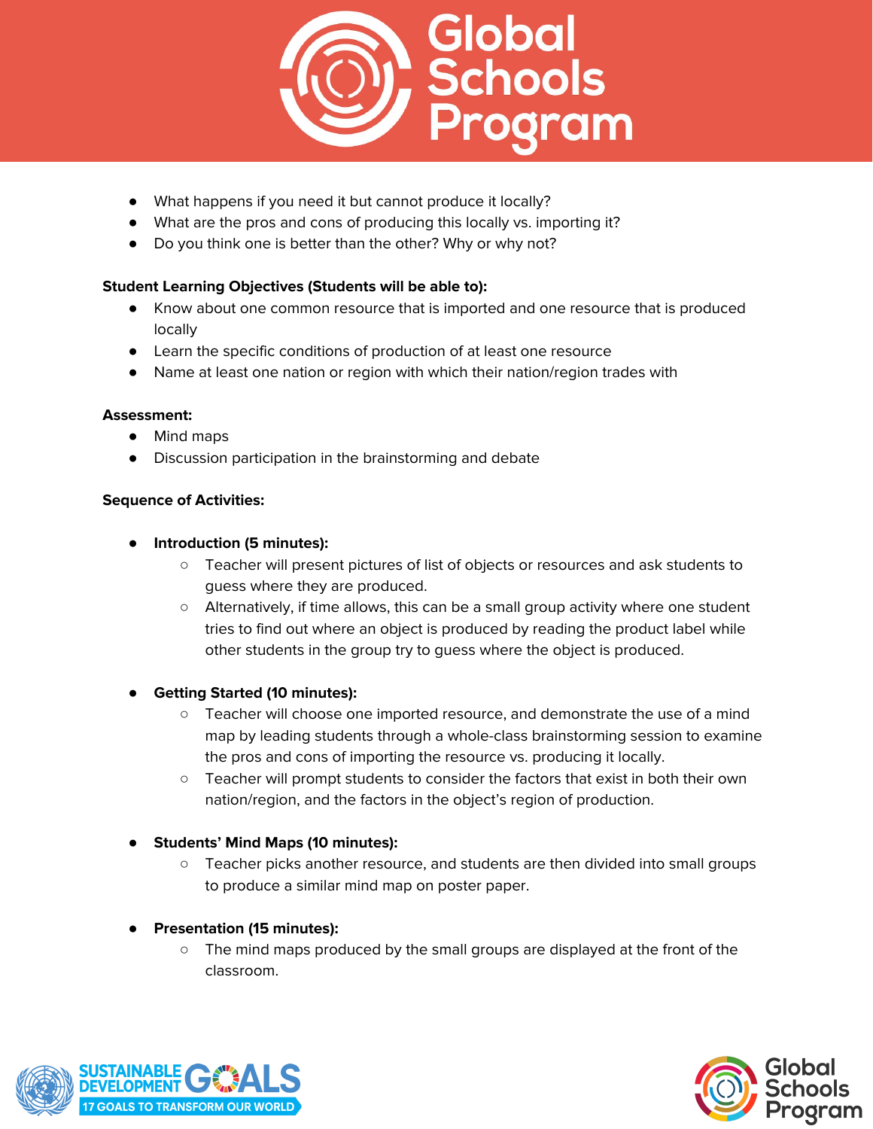

- What happens if you need it but cannot produce it locally?
- What are the pros and cons of producing this locally vs. importing it?
- Do you think one is better than the other? Why or why not?

# **Student Learning Objectives (Students will be able to):**

- Know about one common resource that is imported and one resource that is produced locally
- Learn the specific conditions of production of at least one resource
- Name at least one nation or region with which their nation/region trades with

#### **Assessment:**

- Mind maps
- Discussion participation in the brainstorming and debate

#### **Sequence of Activities:**

- **Introduction (5 minutes):**
	- Teacher will present pictures of list of objects or resources and ask students to guess where they are produced.
	- Alternatively, if time allows, this can be a small group activity where one student tries to find out where an object is produced by reading the product label while other students in the group try to guess where the object is produced.

#### ● **Getting Started (10 minutes):**

- Teacher will choose one imported resource, and demonstrate the use of a mind map by leading students through a whole-class brainstorming session to examine the pros and cons of importing the resource vs. producing it locally.
- Teacher will prompt students to consider the factors that exist in both their own nation/region, and the factors in the object's region of production.

# ● **Students' Mind Maps (10 minutes):**

○ Teacher picks another resource, and students are then divided into small groups to produce a similar mind map on poster paper.

# ● **Presentation (15 minutes):**

 $\circ$  The mind maps produced by the small groups are displayed at the front of the classroom.



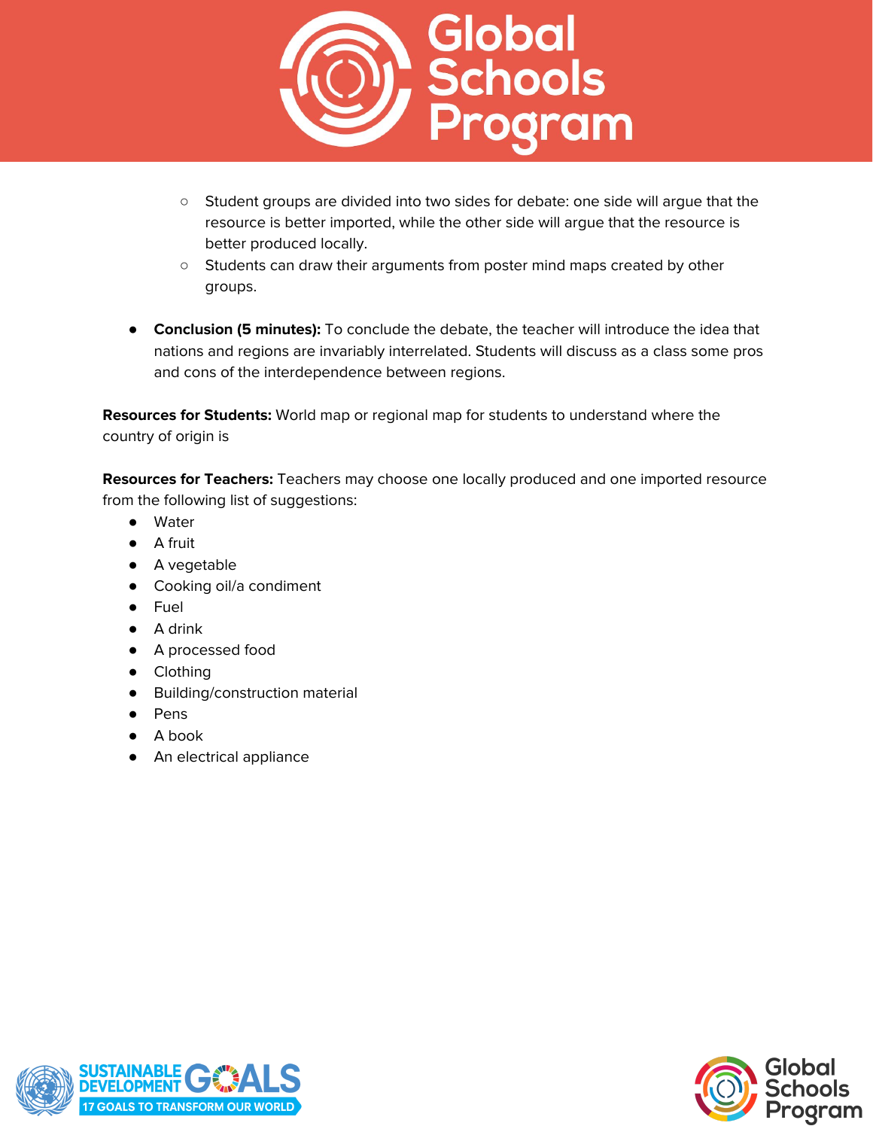

- Student groups are divided into two sides for debate: one side will argue that the resource is better imported, while the other side will argue that the resource is better produced locally.
- Students can draw their arguments from poster mind maps created by other groups.
- **Conclusion (5 minutes):** To conclude the debate, the teacher will introduce the idea that nations and regions are invariably interrelated. Students will discuss as a class some pros and cons of the interdependence between regions.

**Resources for Students:** World map or regional map for students to understand where the country of origin is

**Resources for Teachers:** Teachers may choose one locally produced and one imported resource from the following list of suggestions:

- Water
- A fruit
- A vegetable
- Cooking oil/a condiment
- Fuel
- A drink
- A processed food
- Clothing
- Building/construction material
- Pens
- A book
- An electrical appliance

![](_page_13_Picture_18.jpeg)

![](_page_13_Picture_19.jpeg)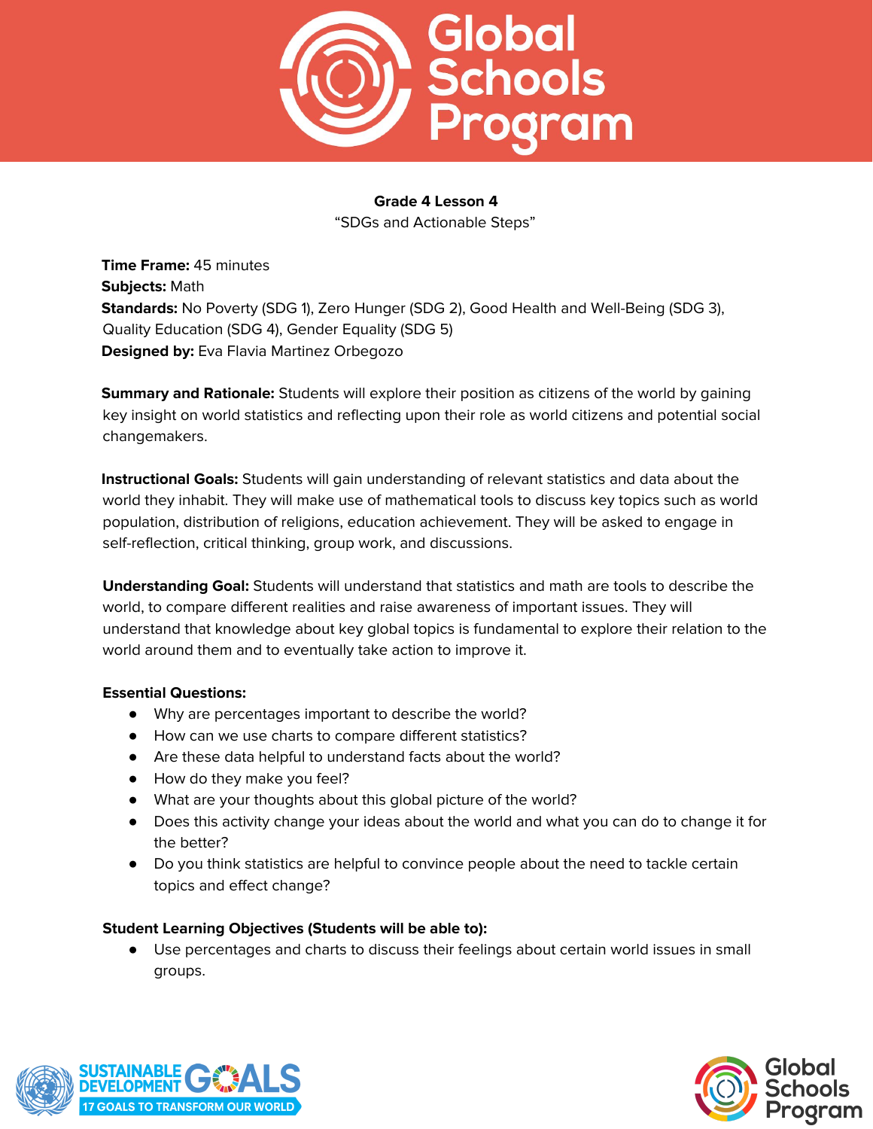![](_page_14_Picture_0.jpeg)

"SDGs and Actionable Steps"

**Time Frame:** 45 minutes **Subjects:** Math **Standards:** No Poverty (SDG 1), Zero Hunger (SDG 2), Good Health and Well-Being (SDG 3), Quality Education (SDG 4), Gender Equality (SDG 5) **Designed by:** Eva Flavia Martinez Orbegozo

**Summary and Rationale:** Students will explore their position as citizens of the world by gaining key insight on world statistics and reflecting upon their role as world citizens and potential social changemakers.

**Instructional Goals:** Students will gain understanding of relevant statistics and data about the world they inhabit. They will make use of mathematical tools to discuss key topics such as world population, distribution of religions, education achievement. They will be asked to engage in self-reflection, critical thinking, group work, and discussions.

**Understanding Goal:** Students will understand that statistics and math are tools to describe the world, to compare different realities and raise awareness of important issues. They will understand that knowledge about key global topics is fundamental to explore their relation to the world around them and to eventually take action to improve it.

# **Essential Questions:**

- Why are percentages important to describe the world?
- How can we use charts to compare different statistics?
- Are these data helpful to understand facts about the world?
- How do they make you feel?
- What are your thoughts about this global picture of the world?
- Does this activity change your ideas about the world and what you can do to change it for the better?
- Do you think statistics are helpful to convince people about the need to tackle certain topics and effect change?

# **Student Learning Objectives (Students will be able to):**

● Use percentages and charts to discuss their feelings about certain world issues in small groups.

![](_page_14_Picture_17.jpeg)

![](_page_14_Picture_18.jpeg)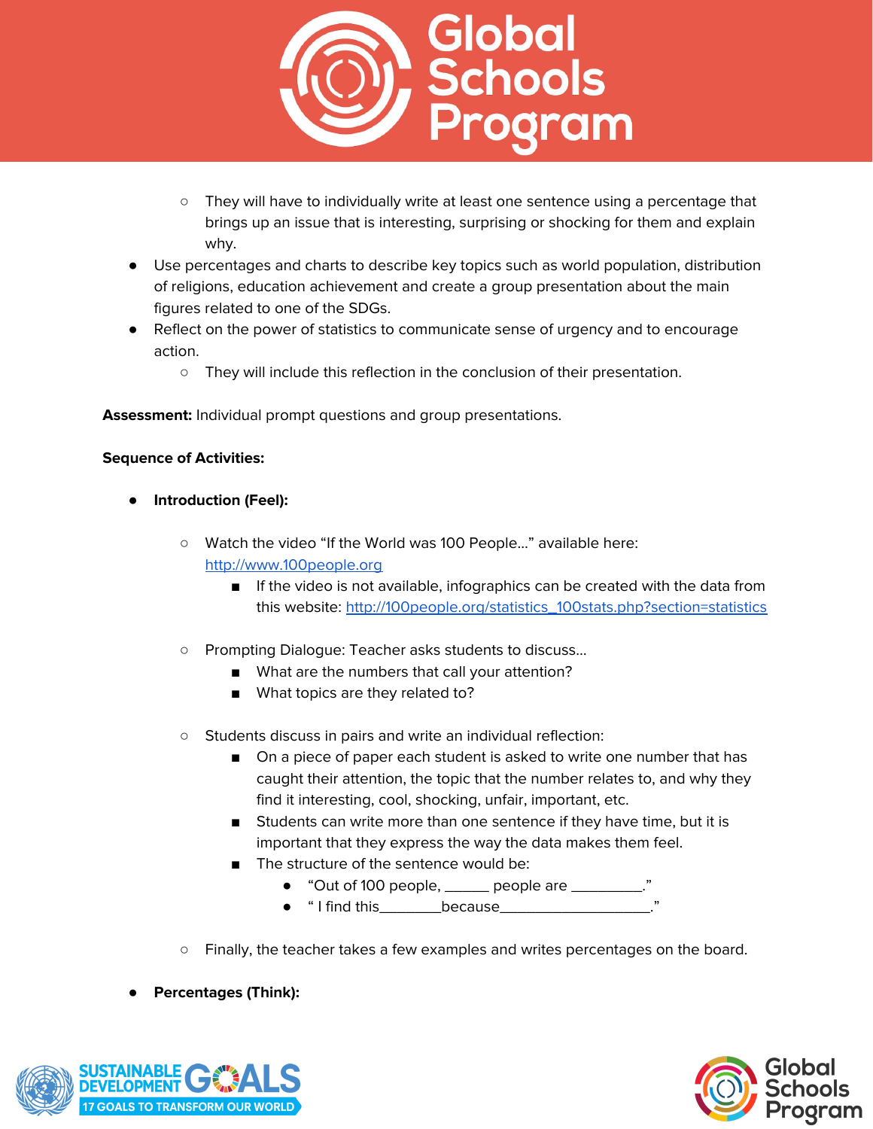![](_page_15_Picture_0.jpeg)

- They will have to individually write at least one sentence using a percentage that brings up an issue that is interesting, surprising or shocking for them and explain why.
- Use percentages and charts to describe key topics such as world population, distribution of religions, education achievement and create a group presentation about the main figures related to one of the SDGs.
- Reflect on the power of statistics to communicate sense of urgency and to encourage action.
	- They will include this reflection in the conclusion of their presentation.

**Assessment:** Individual prompt questions and group presentations.

- **Introduction (Feel):**
	- Watch the video "If the World was 100 People…" available here: [http://www.100people.org](http://www.100people.org/)
		- If the video is not available, infographics can be created with the data from this website: [http://100people.org/statistics\\_100stats.php?section=statistics](http://100people.org/statistics_100stats.php?section=statistics)
	- Prompting Dialogue: Teacher asks students to discuss…
		- What are the numbers that call your attention?
		- What topics are they related to?
	- Students discuss in pairs and write an individual reflection:
		- On a piece of paper each student is asked to write one number that has caught their attention, the topic that the number relates to, and why they find it interesting, cool, shocking, unfair, important, etc.
		- Students can write more than one sentence if they have time, but it is important that they express the way the data makes them feel.
		- The structure of the sentence would be:
			- "Out of 100 people, \_\_\_\_\_ people are \_\_\_\_\_\_\_\_\_."
			- " I find this\_\_\_\_\_\_\_because\_\_\_\_\_\_\_\_\_\_\_\_\_\_\_\_\_."
	- Finally, the teacher takes a few examples and writes percentages on the board.
- **● Percentages (Think):**

![](_page_15_Picture_21.jpeg)

![](_page_15_Picture_22.jpeg)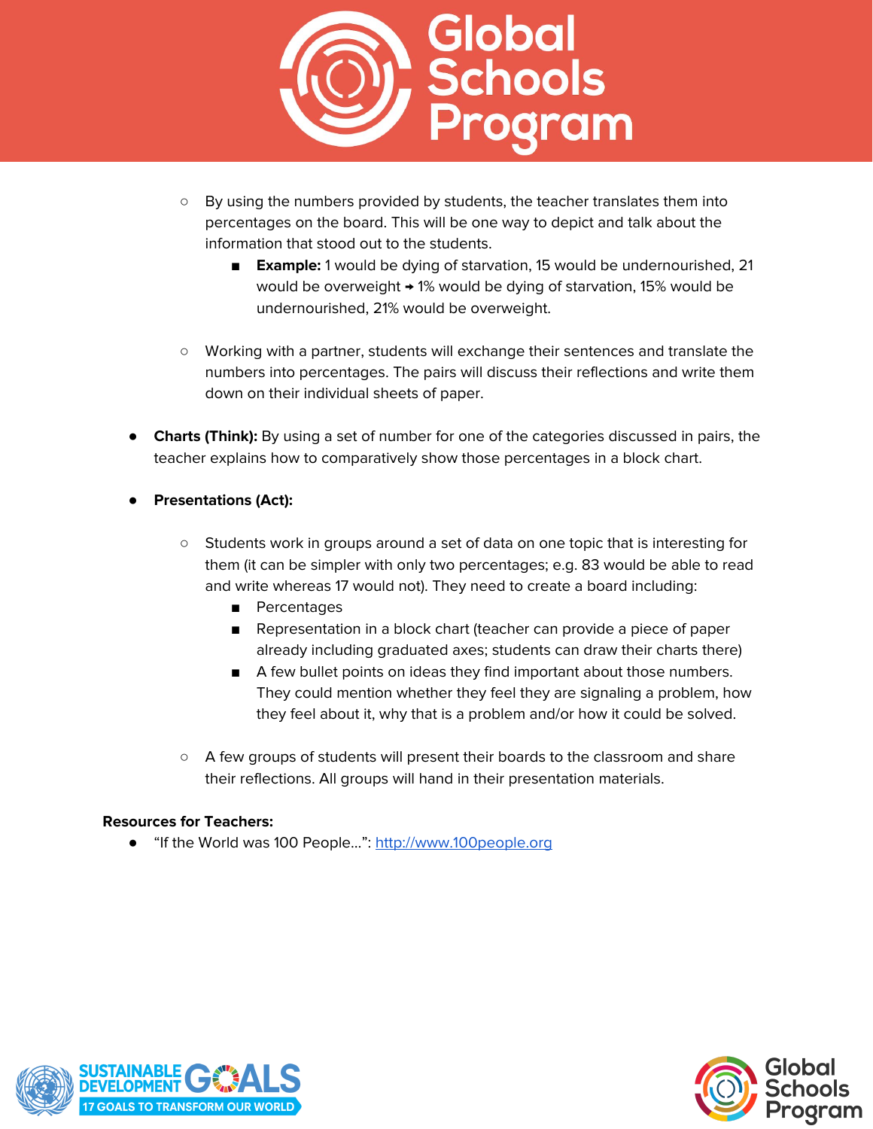![](_page_16_Picture_0.jpeg)

- By using the numbers provided by students, the teacher translates them into percentages on the board. This will be one way to depict and talk about the information that stood out to the students.
	- **Example:** 1 would be dying of starvation, 15 would be undernourished, 21 would be overweight  $\rightarrow$  1% would be dying of starvation, 15% would be undernourished, 21% would be overweight.
- Working with a partner, students will exchange their sentences and translate the numbers into percentages. The pairs will discuss their reflections and write them down on their individual sheets of paper.
- **Charts (Think):** By using a set of number for one of the categories discussed in pairs, the teacher explains how to comparatively show those percentages in a block chart.
- **● Presentations (Act):**
	- Students work in groups around a set of data on one topic that is interesting for them (it can be simpler with only two percentages; e.g. 83 would be able to read and write whereas 17 would not). They need to create a board including:
		- Percentages
		- Representation in a block chart (teacher can provide a piece of paper already including graduated axes; students can draw their charts there)
		- A few bullet points on ideas they find important about those numbers. They could mention whether they feel they are signaling a problem, how they feel about it, why that is a problem and/or how it could be solved.
	- A few groups of students will present their boards to the classroom and share their reflections. All groups will hand in their presentation materials.

#### **Resources for Teachers:**

● "If the World was 100 People...": [http://www.100people.org](http://www.100people.org/)

![](_page_16_Picture_13.jpeg)

![](_page_16_Picture_14.jpeg)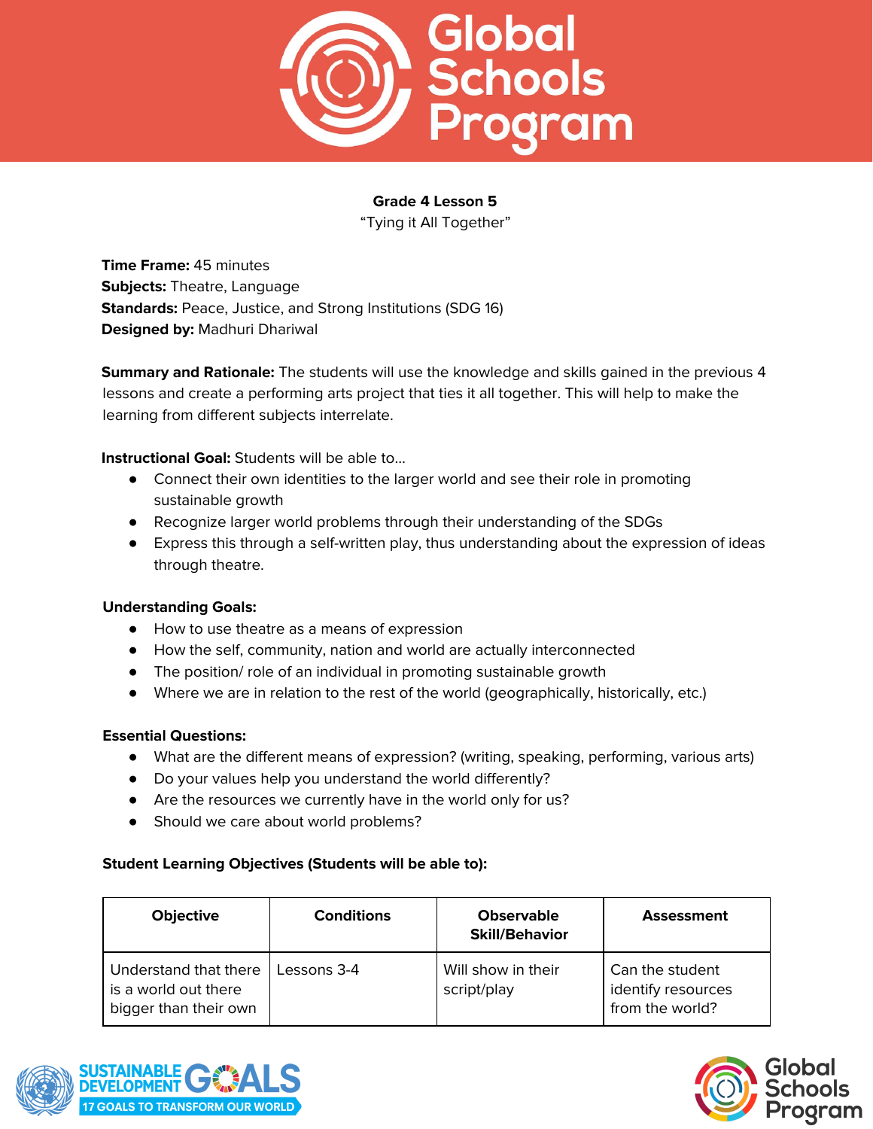![](_page_17_Picture_0.jpeg)

"Tying it All Together"

**Time Frame:** 45 minutes **Subjects:** Theatre, Language **Standards:** Peace, Justice, and Strong Institutions (SDG 16) **Designed by:** Madhuri Dhariwal

**Summary and Rationale:** The students will use the knowledge and skills gained in the previous 4 lessons and create a performing arts project that ties it all together. This will help to make the learning from different subjects interrelate.

**Instructional Goal:** Students will be able to…

- Connect their own identities to the larger world and see their role in promoting sustainable growth
- Recognize larger world problems through their understanding of the SDGs
- Express this through a self-written play, thus understanding about the expression of ideas through theatre.

#### **Understanding Goals:**

- How to use theatre as a means of expression
- How the self, community, nation and world are actually interconnected
- The position/ role of an individual in promoting sustainable growth
- Where we are in relation to the rest of the world (geographically, historically, etc.)

#### **Essential Questions:**

- What are the different means of expression? (writing, speaking, performing, various arts)
- Do your values help you understand the world differently?
- Are the resources we currently have in the world only for us?
- Should we care about world problems?

### **Student Learning Objectives (Students will be able to):**

| <b>Objective</b>                                                       | <b>Conditions</b> | <b>Observable</b><br><b>Skill/Behavior</b> | <b>Assessment</b>                                        |
|------------------------------------------------------------------------|-------------------|--------------------------------------------|----------------------------------------------------------|
| Understand that there<br>is a world out there<br>bigger than their own | Lessons 3-4       | Will show in their<br>script/play          | Can the student<br>identify resources<br>from the world? |

![](_page_17_Picture_21.jpeg)

![](_page_17_Picture_22.jpeg)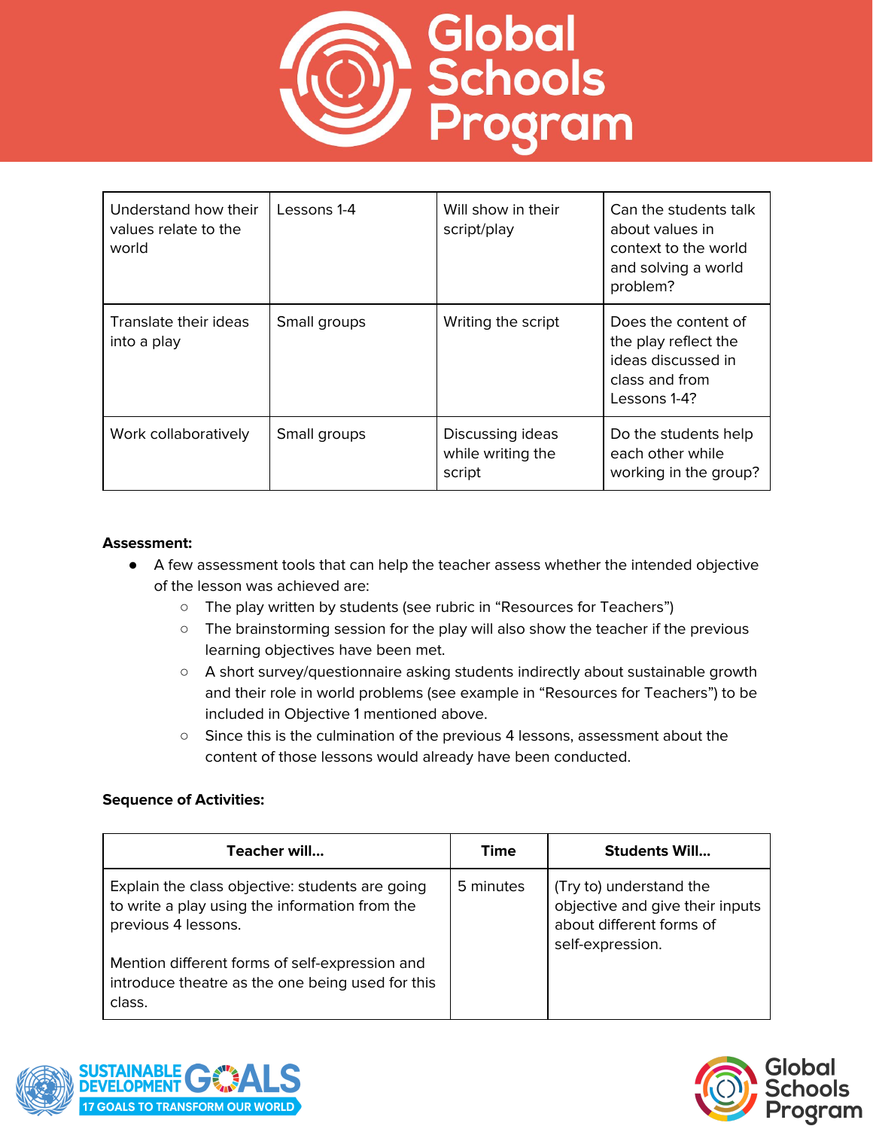![](_page_18_Picture_0.jpeg)

| Understand how their<br>values relate to the<br>world | Lessons 1-4  | Will show in their<br>script/play               | Can the students talk<br>about values in<br>context to the world<br>and solving a world<br>problem? |
|-------------------------------------------------------|--------------|-------------------------------------------------|-----------------------------------------------------------------------------------------------------|
| Translate their ideas<br>into a play                  | Small groups | Writing the script                              | Does the content of<br>the play reflect the<br>ideas discussed in<br>class and from<br>Lessons 1-4? |
| Work collaboratively                                  | Small groups | Discussing ideas<br>while writing the<br>script | Do the students help<br>each other while<br>working in the group?                                   |

#### **Assessment:**

- A few assessment tools that can help the teacher assess whether the intended objective of the lesson was achieved are:
	- The play written by students (see rubric in "Resources for Teachers")
	- The brainstorming session for the play will also show the teacher if the previous learning objectives have been met.
	- A short survey/questionnaire asking students indirectly about sustainable growth and their role in world problems (see example in "Resources for Teachers") to be included in Objective 1 mentioned above.
	- Since this is the culmination of the previous 4 lessons, assessment about the content of those lessons would already have been conducted.

| Teacher will                                                                                                             | Time      | <b>Students Will</b>                                                                                       |
|--------------------------------------------------------------------------------------------------------------------------|-----------|------------------------------------------------------------------------------------------------------------|
| Explain the class objective: students are going<br>to write a play using the information from the<br>previous 4 lessons. | 5 minutes | (Try to) understand the<br>objective and give their inputs<br>about different forms of<br>self-expression. |
| Mention different forms of self-expression and<br>introduce theatre as the one being used for this<br>class.             |           |                                                                                                            |

![](_page_18_Picture_10.jpeg)

![](_page_18_Picture_11.jpeg)